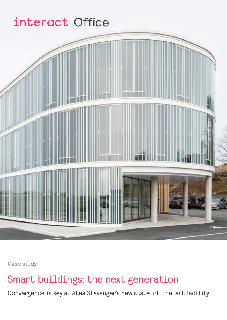# interact Office



**Case study**

## Smart buildings: the next generation

Convergence is key at Atea Stavanger's new state-of-the-art facility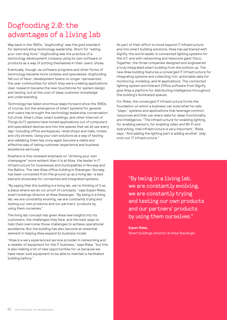#### Dogfooding 2.0: the advantages of a living lab

Way back in the 1990s, "dogfooding" was the gold standard for demonstrating technology leadership. Short for "eating your own dog food," dogfooding was the practice of a technology development company using its own software or products as a way of putting themselves in their users' shoes.

Eventually, though, as software programs and other forms of technology became more complex and specialized, dogfooding fell out of favor: development teams no longer represented the user communities for which they were creating applications. User research became the new touchstone for system design and testing, but at the cost of deep customer knowledge and understanding.

Technology has taken enormous leaps forward since the 1990s, of course, but the emergence of smart systems for general end-users has brought the technology leadership conversation full circle. Smart cities, smart buildings, and other Internet of Things (IoT) systems have moved applications out of computers and specialized devices and into the spaces that we all use every day—including office workspaces, retail shops and malls, hotels, and city streets. Using your own solutions as a way of testing and validating them has once again become a viable and effective way of taking customer experience and business excellence seriously.

Nowhere is this renewed emphasis on "drinking your own champagne" more evident than it is at Atea, the leader in IT infrastructure for businesses and municipalities in Norway and the Baltics. The new Atea office building in Stavanger, Norway, has been conceived from the ground up as a living lab-a test bed and showcase for connected and integrated systems.

"By saying that this building is a living lab, we're thinking of it as a place where we do our proof of concepts," says Espen Riska, smart buildings director at Atea Stavanger. "By being in a living lab, we are constantly evolving, we are constantly trying and testing our own products and our partners' products by using them ourselves."

The living lab concept has given Atea new insights into its customers, the challenges they face, and the best ways to help them overcome those challenges to achieve operational excellence. But the building has also become an essential element in helping Atea expand its business model.

"Atea is a very experienced service provider in networking and a reseller of equipment for the IT business," says Riska, "but this is also making a lot of new opportunities for us because we have never sold equipment to be able to maintain a facilitated building before."

As part of their effort to move beyond IT infrastructure and into smart building solutions, Atea has partnered with Signify, the world leader in connected lighting systems for the IoT, and with networking and telecoms giant Cisco. Together, the three companies designed and engineered a truly integrated smart building from the bottom up. The new Atea building features a converged IT infrastructure for integrating systems and collecting rich, actionable data for monitoring, modeling, and AI applications. The connected lighting system and Interact Office software from Signify give Atea a platform for distributing intelligence throughout the building's illuminated spaces.

For Riska, the converged IT infrastructure forms the foundation on which a business can build what he calls "plays," systems and applications that leverage common resources and that can share data for deep functionality and intelligence. "The infrastructure for enabling lighting, for enabling sensors, for enabling video and Wi-Fi and everything, that infrastructure is very important," Riska says. "And adding the lighting part is adding another 'play' onto our IT infrastructure."

> "By being in a living lab, we are constantly evolving, we are constantly trying and testing our own products and our partners' products by using them ourselves."

**Espen Riska,**  Smart buildings director at Atea Stavanger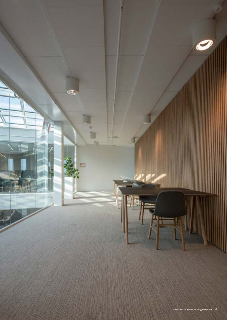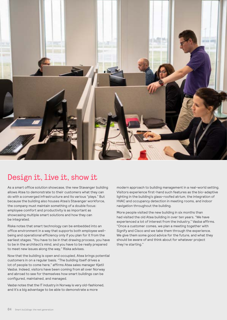

#### Design it, live it, show it

As a smart office solution showcase, the new Stavanger building allows Atea to demonstrate to their customers what they can do with a converged infrastructure and its various "plays." But because the building also houses Atea's Stavanger workforce, the company must maintain something of a double focus: employee comfort and productivity is as important as showcasing multiple smart solutions and how they can be integrated.

Riska notes that smart technology can be embedded into an office environment in a way that supports both employee wellbeing and operational efficiency only if you plan for it from the earliest stages. "You have to be in that drawing process, you have to be in the architect's mind, and you have to be really prepared to meet new issues along the way," Riska advises.

Now that the building is open and occupied, Atea brings potential customers in on a regular basis. "The building itself drives a lot of people to come here," affirms Atea sales manager Kjetil Vasbø. Indeed, visitors have been coming from all over Norway and abroad to see for themselves how smart buildings can be configured, maintained, and managed.

Vasbø notes that the IT industry in Norway is very old-fashioned, and it's a big advantage to be able to demonstrate a more

modern approach to building management in a real-world setting. Visitors experience first-hand such features as the bio-adaptive lighting in the building's glass-roofed atrium, the integration of HVAC and occupancy detection in meeting rooms, and indoor navigation throughout the building.

More people visited the new building in six months than had visited the old Atea building in over ten years. "We have experienced a lot of interest from the industry," Vasbø affirms. "Once a customer comes, we plan a meeting together with Signify and Cisco and we take them through the experience. We give them some good advice for the future, and what they should be aware of and think about for whatever project they're starting."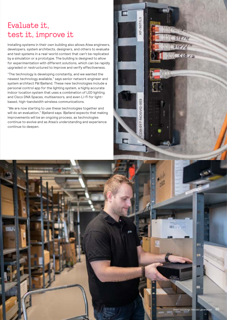#### Evaluate it, test it, improve it

Installing systems in their own building also allows Atea engineers, developers, system architects, designers, and others to evaluate and test systems in a real-world context that can't be replicated by a simulation or a prototype. The building is designed to allow for experimentation with different solutions, which can be rapidly upgraded or restructured to improve and verify effectiveness.

"The technology is developing constantly, and we wanted the newest technology available," says senior network engineer and system architect Pål Bjelland. These new technologies include a personal control app for the lighting system, a highly accurate indoor location system that uses a combination of LED lighting and Cisco DNA Spaces, multisensors, and even Li-Fi for lightbased, high-bandwidth wireless communications.

"We are now starting to use these technologies together and will do an evaluation," Bjelland says. Bjelland expects that making improvements will be an ongoing process, as technologies continue to evolve and as Atea's understanding and experience continue to deepen.



Smart buildings: the next generation

**Hilling Ser**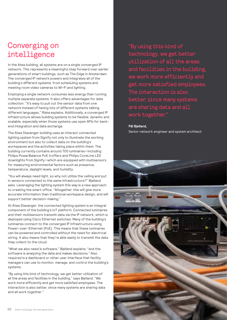#### Converging on intelligence

In the Atea building, all systems are on a single converged IP network. This represents a meaningful step forward over earlier generations of smart buildings, such as The Edge in Amsterdam. The converged IP network powers and integrates all of the building's different systems, from scheduling systems and meeting room video cameras to Wi-Fi and lighting.

Employing a single network consumes less energy than running multiple separate systems. It also offers advantages for data collection. "It's easy to pull out the sensor data from one network instead of having lots of different systems talking different languages," Riska explains. Additionally, a converged IP infrastructure allows building systems to be flexible, dynamic and scalable, especially when those systems use open APIs for backend integration and data exchange.

The Atea Stavanger building uses an Interact connected lighting system from Signify not only to illuminate the working environment but also to collect data on the building's workspaces and the activities taking place within them. The building currently contains around 700 luminaires—including Philips PowerBalance PoE troffers and Philips CoreLine LED downlights from Signify—which are equipped with multisensors for measuring environmental factors such as presence, temperature, daylight levels, and humidity.

"You will always need light, so why not utilize the ceiling and put in sensors connected to the same infrastructure?" Bjelland asks. Leveraging the lighting system this way is a new approach to creating the smart office. "Altogether, this will give more accurate information than traditional workspace design, and will support better decision-making."

At Atea Stavanger, the connected lighting system is an integral component of the building's IoT platform. Connected luminaires and their multisensors transmit data via the IP network, which is deployed using Cisco Ethernet switches. Many of the building's luminaires connect to the converged IP infrastructure using Power-over-Ethernet (PoE). This means that these luminaires can be powered and controlled without the need for electrical wiring. It also means that they're able easily to transmit the data they collect to the cloud.

"What we also need is software," Bjelland explains, "and the software is analyzing the data and makes decisions." Also required is a dashboard or other user interface that facility managers can use to monitor, manage, and control the building's systems.

"By using this kind of technology, we get better utilization of all the areas and facilities in the building," says Bjelland. "We work more efficiently and get more satisfied employees. The interaction is also better, since many systems are sharing data and all work together."

"By using this kind of technology, we get better utilization of all the areas and facilities in the building, we work more efficiently and get more satisfied employees. The interaction is also better, since many systems are sharing data and all work together."

**Pål Bjelland,** Senior network engineer and system architect

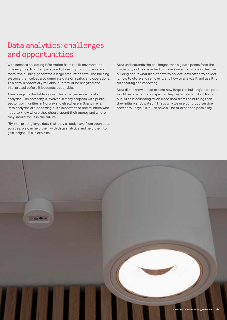### Data analytics: challenges and opportunities

With sensors collecting information from the lit environment on everything from temperature to humidity to occupancy and more, the building generates a large amount of data. The building systems themselves also generate data on status and operations. This data is potentially valuable, but it must be analyzed and interpreted before it becomes actionable.

Atea brings to the table a great deal of experience in data analytics. The company is involved in many projects with public sector communities in Norway and elsewhere in Scandinavia. Data analytics are becoming quite important to communities who need to know where they should spend their money and where they should focus in the future.

"By interpreting large data that they already have from open data sources, we can help them with data analytics and help them to gain insight," Riska explains.

Atea understands the challenges that big data poses from the inside out, as they have had to make similar decisions in their own building about what kind of data to collect, how often to collect it, how to store and remove it, and how to analyze it and use it for forecasting and reporting.

Atea didn't know ahead of time how large the building's data pool would be or what data capacity they really needed. As it turns out, Atea is collecting much more data from the building than they initially anticipated. "That's why we use our cloud service providers," says Riska, "to have a kind of expanded possibility."

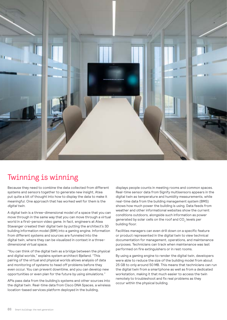

#### Twinning is winning

Because they need to combine the data collected from different systems and sensors together to generate new insight, Atea put quite a bit of thought into how to display the data to make it meaningful. One approach that has worked well for them is the digital twin.

A digital twin is a three-dimensional model of a space that you can move through in the same way that you can move through a virtual world in a first-person video game. In fact, engineers at Atea Stavanger created their digital twin by putting the architect's 3D building information model (BIM) into a gaming engine. Information from different systems and sources are funneled into the digital twin, where they can be visualized in context in a threedimensional virtual space.

"You can think of the digital twin as a bridge between the physical and digital worlds," explains system architect Bjelland. "This pairing of the virtual and physical worlds allows analysis of data and monitoring of systems to head off problems before they even occur. You can prevent downtime, and you can develop new opportunities or even plan for the future by using simulations."

APIs pass data from the building's systems and other sources into the digital twin. Real-time data from Cisco DNA Spaces, a wireless location-based services platform deployed in the building,

displays people counts in meeting rooms and common spaces. Real-time sensor data from Signify multisensors appears in the digital twin as temperature and humidity measurements, while real-time data from the building management system (BMS) shows how much power the building is using. Data feeds from weather and other informational websites show the current conditions outdoors, alongside such information as power generated by solar cells on the roof and CO<sub>2</sub> levels per building floor.

Facilities managers can even drill down on a specific feature or product represented in the digital twin to view technical documentation for management, operations, and maintenance purposes. Technicians can track when maintenance was last performed on fire extinguishers or in rest rooms.

By using a gaming engine to render the digital twin, developers were able to reduce the size of the building model from about 25 GB to only around 50 MB. This means that technicians can run the digital twin from a smartphone as well as from a dedicated workstation, making it that much easier to access the twin remotely to troubleshoot and fix real problems as they occur within the physical building.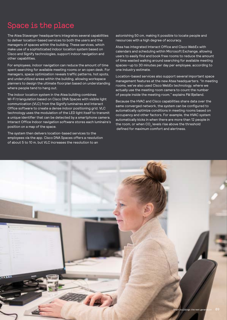### Space is the place

The Atea Stavanger headquarters integrates several capabilities to deliver location-based services to both the users and the managers of spaces within the building. These services, which make use of a sophisticated indoor location system based on Cisco and Signify technologies, support indoor navigation and other capabilities.

For employees, indoor navigation can reduce the amount of time spent searching for available meeting rooms or an open desk. For managers, space optimization reveals traffic patterns, hot spots, and underutilized areas within the building, allowing workspace planners to design the ultimate floorplan based on understanding where people tend to hang out.

The indoor location system in the Atea building combines Wi-Fi triangulation based on Cisco DNA Spaces with visible light communication (VLC) from the Signify luminaires and Interact Office software to create a dense indoor positioning grid. VLC technology uses the modulation of the LED light itself to transmit a unique identifier that can be detected by a smartphone camera. Interact Office Indoor navigation software stores each luminaire's position on a map of the space.

The system then delivers location-based services to the employees via the app. Cisco DNA Spaces offers a resolution of about 5 to 10 m, but VLC increases the resolution to an

astonishing 50 cm, making it possible to locate people and resources with a high degree of accuracy.

Atea has integrated Interact Office and Cisco WebEx with calendars and scheduling within Microsoft Exchange, allowing users to easily find and book free rooms to reduce the amount of time wasted walking around searching for available meeting spaces—up to 30 minutes per day per employee, according to one industry estimate.

Location-based services also support several important space management features at the new Atea headquarters. "In meeting rooms, we've also used Cisco WebEx technology, where we actually use the meeting room camera to count the number of people inside the meeting room," explains Pål Bjelland.

Because the HVAC and Cisco capabilities share data over the same converged network, the system can be configured to automatically optimize conditions in meeting rooms based on occupancy and other factors. For example, the HVAC system automatically kicks in when there are more than 12 people in the room, or when  $CO<sub>2</sub>$  levels rise above the threshold defined for maximum comfort and alertness.

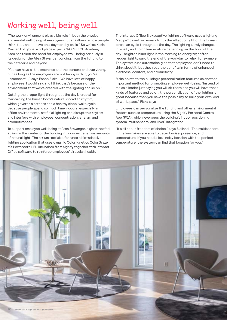#### Working well, being well

"The work environment plays a big role in both the physical and mental well-being of employees. It can influence how people think, feel, and behave on a day-to-day basis." So writes Kasia Maynard of global workplace experts WORKTECH Academy. Atea has taken the need for employee well-being seriously in its design of the Atea Stavanger building, from the lighting to the cafeteria and beyond.

"You can have all the machines and the sensors and everything, but as long as the employees are not happy with it, you're unsuccessful," says Espen Riska. "We have lots of happy employees, I would say, and I think that's because of the environment that we've created with the lighting and so on."

Getting the proper light throughout the day is crucial for maintaining the human body's natural circadian rhythm, which governs alertness and a healthy sleep-wake cycle. Because people spend so much time indoors, especially in office environments, artificial lighting can disrupt this rhythm and interfere with employees' concentration, energy, and productiveness.

To support employee well-being at Atea Stavanger, a glass-roofed atrium in the center of the building introduces generous amounts of natural light. The atrium roof also features a bio-adaptive lighting application that uses dynamic Color Kinetics ColorGraze MX Powercore LED luminaires from Signify together with Interact Office software to reinforce employees' circadian health.

The Interact Office Bio-adaptive lighting software uses a lighting "recipe" based on research into the effect of light on the human circadian cycle throughout the day. The lighting slowly changes intensity and color temperature depending on the hour of the day—brighter, bluer light in the morning to energize; softer, redder light toward the end of the workday to relax, for example. The system runs automatically so that employees don't need to think about it, but they reap the benefits in terms of enhanced alertness, comfort, and productivity.

Riska points to the building's personalization features as another important method for promoting employee well-being. "Instead of me as a leader just saying you will sit there and you will have these kinds of features and so on, the personalization of the lighting is great because then you have the possibility to build your own kind of workspace," Riska says.

Employees can personalize the lighting and other environmental factors such as temperature using the Signify Personal Control App (PCA), which leverages the building's indoor positioning system, multisensors, and HVAC integration.

"It's all about freedom of choice," says Bjelland. "The multisensors in the luminaires are able to detect noise, presence, and temperature. If you need a less noisy location with the perfect temperature, the system can find that location for you."

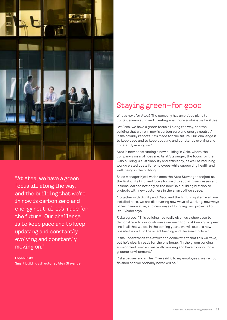

"At Atea, we have a green focus all along the way, and the building that we're in now is carbon zero and energy neutral, it's made for the future. Our challenge is to keep pace and to keep updating and constantly evolving and constantly moving on."

#### **Espen Riska,**

Smart buildings director at Atea Stavanger

#### Staying green—for good

What's next for Atea? The company has ambitious plans to continue innovating and creating ever more sustainable facilities.

"At Atea, we have a green focus all along the way, and the building that we're in now is carbon zero and energy neutral," Riska proudly reports. "It's made for the future. Our challenge is to keep pace and to keep updating and constantly evolving and constantly moving on."

Atea is now constructing a new building in Oslo, where the company's main offices are. As at Stavanger, the focus for the Oslo building is sustainability and efficiency, as well as reducing work-related costs for employees while supporting health and well-being in the building.

Sales manager Kjetil Vasbø sees the Atea Stavanger project as the first of its kind, and looks forward to applying successes and lessons learned not only to the new Oslo building but also to projects with new customers in the smart office space.

"Together with Signify and Cisco and the lighting system we have installed here, we are discovering new ways of working, new ways of being innovative, and new ways of bringing new projects to life," Vasbø says.

Riska agrees. "This building has really given us a showcase to demonstrate to our customers our main focus of keeping a green line in all that we do. In the coming years, we will explore new possibilities within the smart building and the smart office."

Riska understands the effort and commitment that this will take, but he's clearly ready for the challenge. "In the green building environment, we're constantly working and have to work for a greener environment."

Riska pauses and smiles. "I've said it to my employees: we're not finished and we probably never will be."